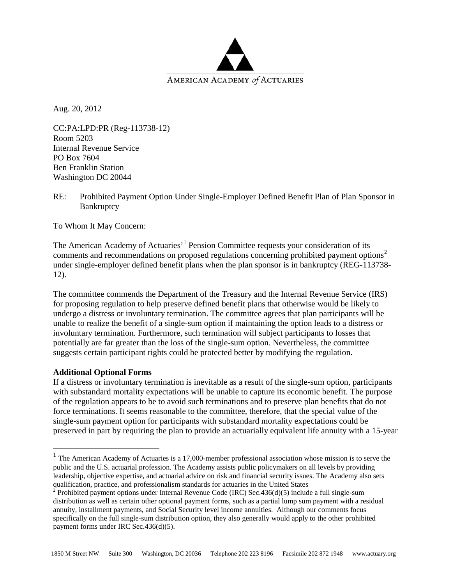

Aug. 20, 2012

CC:PA:LPD:PR (Reg-113738-12) Room 5203 Internal Revenue Service PO Box 7604 Ben Franklin Station Washington DC 20044

RE: Prohibited Payment Option Under Single-Employer Defined Benefit Plan of Plan Sponsor in **Bankruptcy** 

To Whom It May Concern:

The American Academy of Actuaries<sup>, [1](#page-0-0)</sup> Pension Committee requests your consideration of its comments and recommendations on proposed regulations concerning prohibited payment options<sup>[2](#page-0-1)</sup> under single-employer defined benefit plans when the plan sponsor is in bankruptcy (REG-113738- 12).

The committee commends the Department of the Treasury and the Internal Revenue Service (IRS) for proposing regulation to help preserve defined benefit plans that otherwise would be likely to undergo a distress or involuntary termination. The committee agrees that plan participants will be unable to realize the benefit of a single-sum option if maintaining the option leads to a distress or involuntary termination. Furthermore, such termination will subject participants to losses that potentially are far greater than the loss of the single-sum option. Nevertheless, the committee suggests certain participant rights could be protected better by modifying the regulation.

## **Additional Optional Forms**

If a distress or involuntary termination is inevitable as a result of the single-sum option, participants with substandard mortality expectations will be unable to capture its economic benefit. The purpose of the regulation appears to be to avoid such terminations and to preserve plan benefits that do not force terminations. It seems reasonable to the committee, therefore, that the special value of the single-sum payment option for participants with substandard mortality expectations could be preserved in part by requiring the plan to provide an actuarially equivalent life annuity with a 15-year

<span id="page-0-0"></span><sup>&</sup>lt;sup>1</sup> The American Academy of Actuaries is a 17,000-member professional association whose mission is to serve the public and the U.S. actuarial profession. The Academy assists public policymakers on all levels by providing leadership, objective expertise, and actuarial advice on risk and financial security issues. The Academy also sets qualification, practice, and professionalism standards for actuaries in the United States

<span id="page-0-1"></span><sup>&</sup>lt;sup>2</sup> Prohibited payment options under Internal Revenue Code (IRC) Sec. 436(d)(5) include a full single-sum distribution as well as certain other optional payment forms, such as a partial lump sum payment with a residual annuity, installment payments, and Social Security level income annuities. Although our comments focus specifically on the full single-sum distribution option, they also generally would apply to the other prohibited payment forms under IRC Sec.436(d)(5).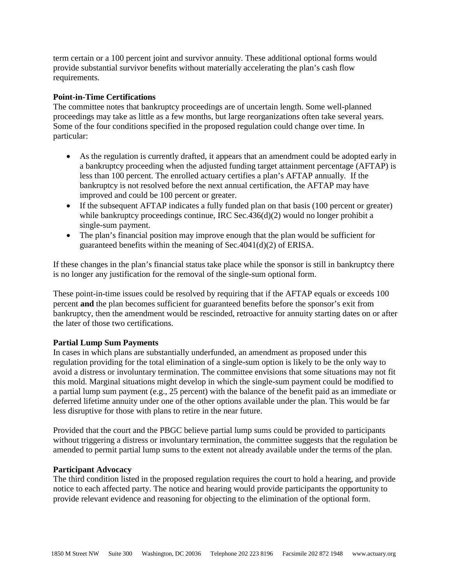term certain or a 100 percent joint and survivor annuity. These additional optional forms would provide substantial survivor benefits without materially accelerating the plan's cash flow requirements.

# **Point-in-Time Certifications**

The committee notes that bankruptcy proceedings are of uncertain length. Some well-planned proceedings may take as little as a few months, but large reorganizations often take several years. Some of the four conditions specified in the proposed regulation could change over time. In particular:

- As the regulation is currently drafted, it appears that an amendment could be adopted early in a bankruptcy proceeding when the adjusted funding target attainment percentage (AFTAP) is less than 100 percent. The enrolled actuary certifies a plan's AFTAP annually. If the bankruptcy is not resolved before the next annual certification, the AFTAP may have improved and could be 100 percent or greater.
- If the subsequent AFTAP indicates a fully funded plan on that basis (100 percent or greater) while bankruptcy proceedings continue, IRC Sec.436(d)(2) would no longer prohibit a single-sum payment.
- The plan's financial position may improve enough that the plan would be sufficient for guaranteed benefits within the meaning of Sec.4041(d)(2) of ERISA.

If these changes in the plan's financial status take place while the sponsor is still in bankruptcy there is no longer any justification for the removal of the single-sum optional form.

These point-in-time issues could be resolved by requiring that if the AFTAP equals or exceeds 100 percent **and** the plan becomes sufficient for guaranteed benefits before the sponsor's exit from bankruptcy, then the amendment would be rescinded, retroactive for annuity starting dates on or after the later of those two certifications.

## **Partial Lump Sum Payments**

In cases in which plans are substantially underfunded, an amendment as proposed under this regulation providing for the total elimination of a single-sum option is likely to be the only way to avoid a distress or involuntary termination. The committee envisions that some situations may not fit this mold. Marginal situations might develop in which the single-sum payment could be modified to a partial lump sum payment (e.g., 25 percent) with the balance of the benefit paid as an immediate or deferred lifetime annuity under one of the other options available under the plan. This would be far less disruptive for those with plans to retire in the near future.

Provided that the court and the PBGC believe partial lump sums could be provided to participants without triggering a distress or involuntary termination, the committee suggests that the regulation be amended to permit partial lump sums to the extent not already available under the terms of the plan.

## **Participant Advocacy**

The third condition listed in the proposed regulation requires the court to hold a hearing, and provide notice to each affected party. The notice and hearing would provide participants the opportunity to provide relevant evidence and reasoning for objecting to the elimination of the optional form.